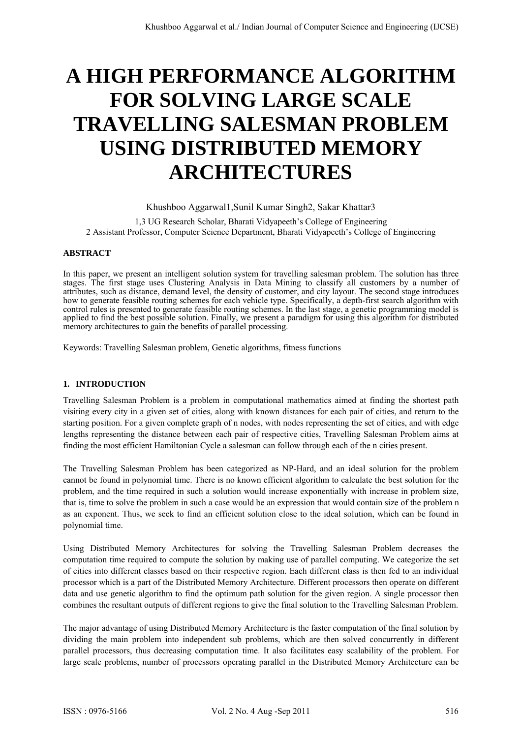# **A HIGH PERFORMANCE ALGORITHM FOR SOLVING LARGE SCALE TRAVELLING SALESMAN PROBLEM USING DISTRIBUTED MEMORY ARCHITECTURES**

# Khushboo Aggarwal1,Sunil Kumar Singh2, Sakar Khattar3

1,3 UG Research Scholar, Bharati Vidyapeeth's College of Engineering 2 Assistant Professor, Computer Science Department, Bharati Vidyapeeth's College of Engineering

## **ABSTRACT**

In this paper, we present an intelligent solution system for travelling salesman problem. The solution has three stages. The first stage uses Clustering Analysis in Data Mining to classify all customers by a number of attributes, such as distance, demand level, the density of customer, and city layout. The second stage introduces how to generate feasible routing schemes for each vehicle type. Specifically, a depth-first search algorithm with control rules is presented to generate feasible routing schemes. In the last stage, a genetic programming model is applied to find the best possible solution. Finally, we present a paradigm for using this algorithm for distributed memory architectures to gain the benefits of parallel processing.

Keywords: Travelling Salesman problem, Genetic algorithms, fitness functions

### **1. INTRODUCTION**

Travelling Salesman Problem is a problem in computational mathematics aimed at finding the shortest path visiting every city in a given set of cities, along with known distances for each pair of cities, and return to the starting position. For a given complete graph of n nodes, with nodes representing the set of cities, and with edge lengths representing the distance between each pair of respective cities, Travelling Salesman Problem aims at finding the most efficient Hamiltonian Cycle a salesman can follow through each of the n cities present.

The Travelling Salesman Problem has been categorized as NP-Hard, and an ideal solution for the problem cannot be found in polynomial time. There is no known efficient algorithm to calculate the best solution for the problem, and the time required in such a solution would increase exponentially with increase in problem size, that is, time to solve the problem in such a case would be an expression that would contain size of the problem n as an exponent. Thus, we seek to find an efficient solution close to the ideal solution, which can be found in polynomial time.

Using Distributed Memory Architectures for solving the Travelling Salesman Problem decreases the computation time required to compute the solution by making use of parallel computing. We categorize the set of cities into different classes based on their respective region. Each different class is then fed to an individual processor which is a part of the Distributed Memory Architecture. Different processors then operate on different data and use genetic algorithm to find the optimum path solution for the given region. A single processor then combines the resultant outputs of different regions to give the final solution to the Travelling Salesman Problem.

The major advantage of using Distributed Memory Architecture is the faster computation of the final solution by dividing the main problem into independent sub problems, which are then solved concurrently in different parallel processors, thus decreasing computation time. It also facilitates easy scalability of the problem. For large scale problems, number of processors operating parallel in the Distributed Memory Architecture can be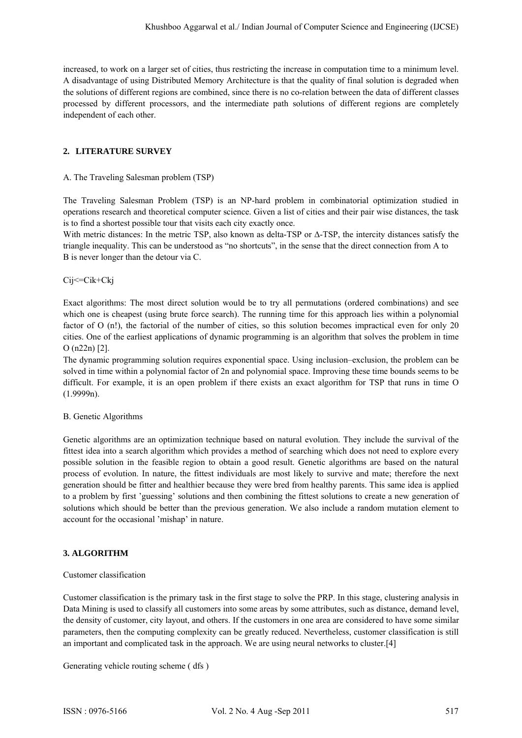increased, to work on a larger set of cities, thus restricting the increase in computation time to a minimum level. A disadvantage of using Distributed Memory Architecture is that the quality of final solution is degraded when the solutions of different regions are combined, since there is no co-relation between the data of different classes processed by different processors, and the intermediate path solutions of different regions are completely independent of each other.

## **2. LITERATURE SURVEY**

### A. The Traveling Salesman problem (TSP)

The Traveling Salesman Problem (TSP) is an NP-hard problem in combinatorial optimization studied in operations research and theoretical computer science. Given a list of cities and their pair wise distances, the task is to find a shortest possible tour that visits each city exactly once.

With metric distances: In the metric TSP, also known as delta-TSP or Δ-TSP, the intercity distances satisfy the triangle inequality. This can be understood as "no shortcuts", in the sense that the direct connection from A to B is never longer than the detour via C.

Cij<=Cik+Ckj

Exact algorithms: The most direct solution would be to try all permutations (ordered combinations) and see which one is cheapest (using brute force search). The running time for this approach lies within a polynomial factor of O (n!), the factorial of the number of cities, so this solution becomes impractical even for only 20 cities. One of the earliest applications of dynamic programming is an algorithm that solves the problem in time O (n22n) [2].

The dynamic programming solution requires exponential space. Using inclusion–exclusion, the problem can be solved in time within a polynomial factor of 2n and polynomial space. Improving these time bounds seems to be difficult. For example, it is an open problem if there exists an exact algorithm for TSP that runs in time O (1.9999n).

### B. Genetic Algorithms

Genetic algorithms are an optimization technique based on natural evolution. They include the survival of the fittest idea into a search algorithm which provides a method of searching which does not need to explore every possible solution in the feasible region to obtain a good result. Genetic algorithms are based on the natural process of evolution. In nature, the fittest individuals are most likely to survive and mate; therefore the next generation should be fitter and healthier because they were bred from healthy parents. This same idea is applied to a problem by first 'guessing' solutions and then combining the fittest solutions to create a new generation of solutions which should be better than the previous generation. We also include a random mutation element to account for the occasional 'mishap' in nature.

### **3. ALGORITHM**

### Customer classification

Customer classification is the primary task in the first stage to solve the PRP. In this stage, clustering analysis in Data Mining is used to classify all customers into some areas by some attributes, such as distance, demand level, the density of customer, city layout, and others. If the customers in one area are considered to have some similar parameters, then the computing complexity can be greatly reduced. Nevertheless, customer classification is still an important and complicated task in the approach. We are using neural networks to cluster.[4]

Generating vehicle routing scheme ( dfs )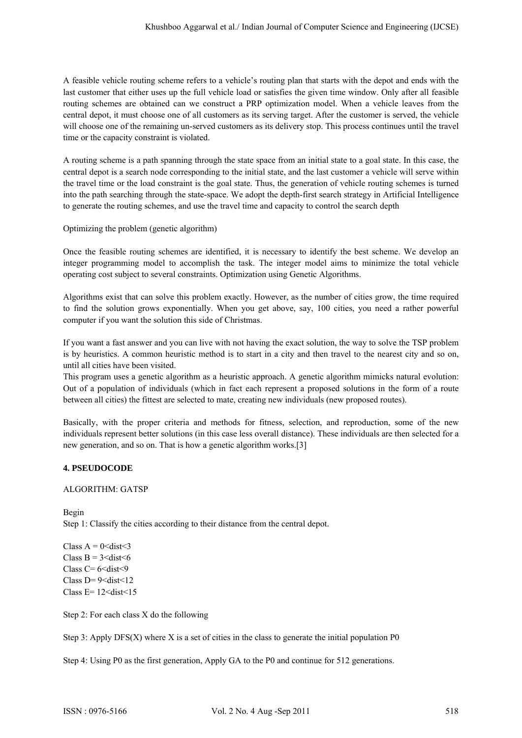A feasible vehicle routing scheme refers to a vehicle's routing plan that starts with the depot and ends with the last customer that either uses up the full vehicle load or satisfies the given time window. Only after all feasible routing schemes are obtained can we construct a PRP optimization model. When a vehicle leaves from the central depot, it must choose one of all customers as its serving target. After the customer is served, the vehicle will choose one of the remaining un-served customers as its delivery stop. This process continues until the travel time or the capacity constraint is violated.

A routing scheme is a path spanning through the state space from an initial state to a goal state. In this case, the central depot is a search node corresponding to the initial state, and the last customer a vehicle will serve within the travel time or the load constraint is the goal state. Thus, the generation of vehicle routing schemes is turned into the path searching through the state-space. We adopt the depth-first search strategy in Artificial Intelligence to generate the routing schemes, and use the travel time and capacity to control the search depth

Optimizing the problem (genetic algorithm)

Once the feasible routing schemes are identified, it is necessary to identify the best scheme. We develop an integer programming model to accomplish the task. The integer model aims to minimize the total vehicle operating cost subject to several constraints. Optimization using Genetic Algorithms.

Algorithms exist that can solve this problem exactly. However, as the number of cities grow, the time required to find the solution grows exponentially. When you get above, say, 100 cities, you need a rather powerful computer if you want the solution this side of Christmas.

If you want a fast answer and you can live with not having the exact solution, the way to solve the TSP problem is by heuristics. A common heuristic method is to start in a city and then travel to the nearest city and so on, until all cities have been visited.

This program uses a genetic algorithm as a heuristic approach. A genetic algorithm mimicks natural evolution: Out of a population of individuals (which in fact each represent a proposed solutions in the form of a route between all cities) the fittest are selected to mate, creating new individuals (new proposed routes).

Basically, with the proper criteria and methods for fitness, selection, and reproduction, some of the new individuals represent better solutions (in this case less overall distance). These individuals are then selected for a new generation, and so on. That is how a genetic algorithm works.[3]

# **4. PSEUDOCODE**

### ALGORITHM: GATSP

Begin Step 1: Classify the cities according to their distance from the central depot.

Class  $A = 0 \leq \text{dist} \leq 3$ Class  $B = 3$  <dist <6 Class  $C = 6 \leq \text{dist} \leq 9$ Class  $D = 9$  <dist <12 Class E=  $12$  < dist < 15

Step 2: For each class X do the following

Step 3: Apply DFS(X) where X is a set of cities in the class to generate the initial population P0

Step 4: Using P0 as the first generation, Apply GA to the P0 and continue for 512 generations.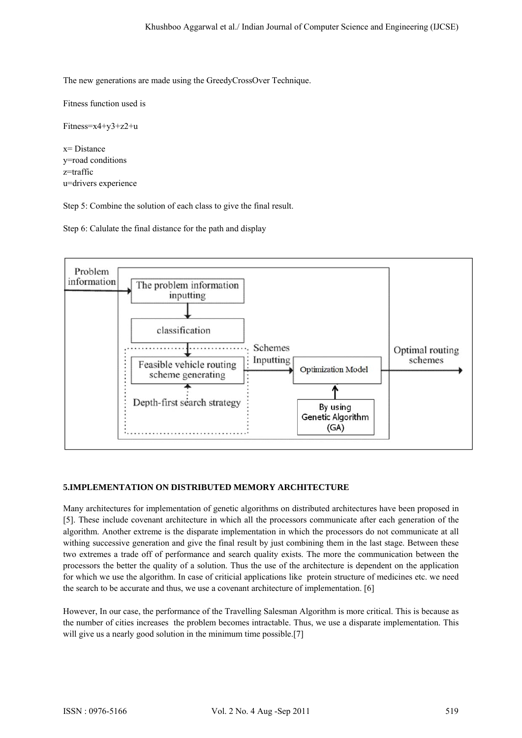The new generations are made using the GreedyCrossOver Technique.

Fitness function used is

Fitness=x4+y3+z2+u

x= Distance y=road conditions z=traffic u=drivers experience

Step 5: Combine the solution of each class to give the final result.

Step 6: Calulate the final distance for the path and display



### **5.IMPLEMENTATION ON DISTRIBUTED MEMORY ARCHITECTURE**

Many architectures for implementation of genetic algorithms on distributed architectures have been proposed in [5]. These include covenant architecture in which all the processors communicate after each generation of the algorithm. Another extreme is the disparate implementation in which the processors do not communicate at all withing successive generation and give the final result by just combining them in the last stage. Between these two extremes a trade off of performance and search quality exists. The more the communication between the processors the better the quality of a solution. Thus the use of the architecture is dependent on the application for which we use the algorithm. In case of criticial applications like protein structure of medicines etc. we need the search to be accurate and thus, we use a covenant architecture of implementation. [6]

However, In our case, the performance of the Travelling Salesman Algorithm is more critical. This is because as the number of cities increases the problem becomes intractable. Thus, we use a disparate implementation. This will give us a nearly good solution in the minimum time possible.<sup>[7]</sup>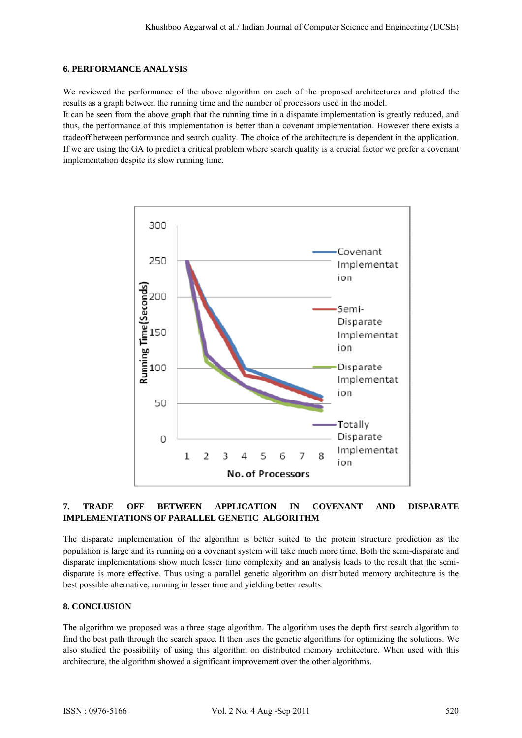#### **6. PERFORMANCE ANALYSIS**

We reviewed the performance of the above algorithm on each of the proposed architectures and plotted the results as a graph between the running time and the number of processors used in the model.

It can be seen from the above graph that the running time in a disparate implementation is greatly reduced, and thus, the performance of this implementation is better than a covenant implementation. However there exists a tradeoff between performance and search quality. The choice of the architecture is dependent in the application. If we are using the GA to predict a critical problem where search quality is a crucial factor we prefer a covenant implementation despite its slow running time.



## **7. TRADE OFF BETWEEN APPLICATION IN COVENANT AND DISPARATE IMPLEMENTATIONS OF PARALLEL GENETIC ALGORITHM**

The disparate implementation of the algorithm is better suited to the protein structure prediction as the population is large and its running on a covenant system will take much more time. Both the semi-disparate and disparate implementations show much lesser time complexity and an analysis leads to the result that the semidisparate is more effective. Thus using a parallel genetic algorithm on distributed memory architecture is the best possible alternative, running in lesser time and yielding better results.

## **8. CONCLUSION**

The algorithm we proposed was a three stage algorithm. The algorithm uses the depth first search algorithm to find the best path through the search space. It then uses the genetic algorithms for optimizing the solutions. We also studied the possibility of using this algorithm on distributed memory architecture. When used with this architecture, the algorithm showed a significant improvement over the other algorithms.